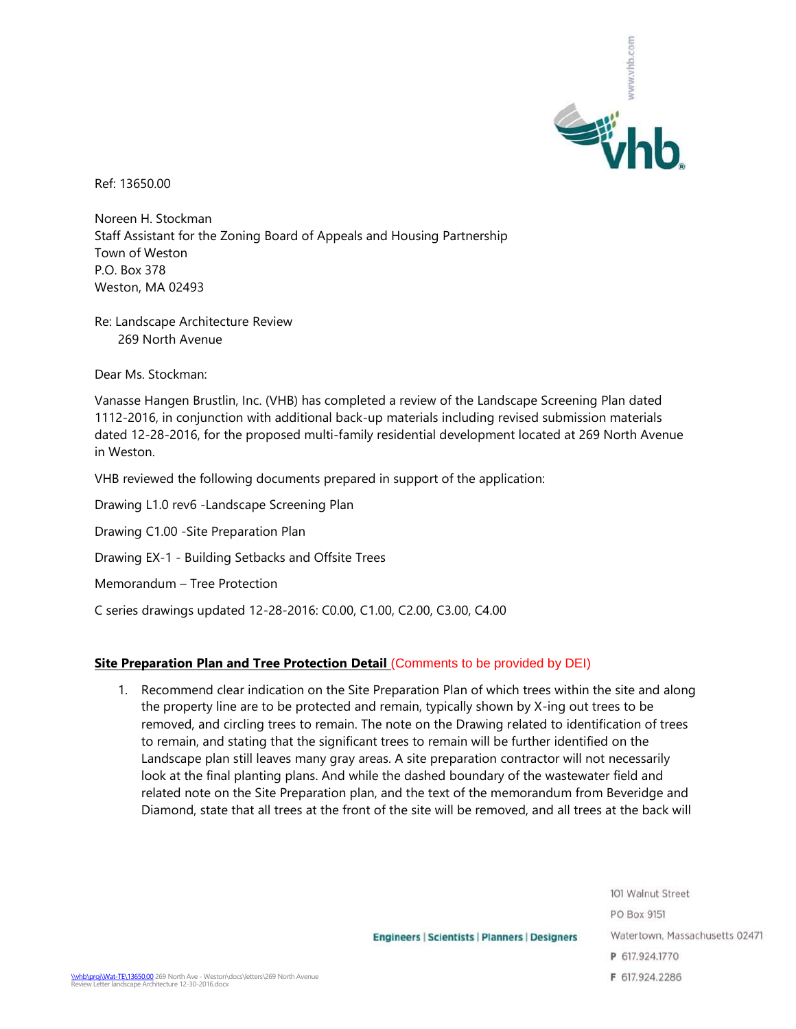

Ref: 13650.00

Noreen H. Stockman Staff Assistant for the Zoning Board of Appeals and Housing Partnership Town of Weston P.O. Box 378 Weston, MA 02493

Re: Landscape Architecture Review 269 North Avenue

Dear Ms. Stockman:

Vanasse Hangen Brustlin, Inc. (VHB) has completed a review of the Landscape Screening Plan dated 1112-2016, in conjunction with additional back-up materials including revised submission materials dated 12-28-2016, for the proposed multi-family residential development located at 269 North Avenue in Weston.

VHB reviewed the following documents prepared in support of the application:

- Drawing L1.0 rev6 -Landscape Screening Plan
- Drawing C1.00 -Site Preparation Plan
- Drawing EX-1 Building Setbacks and Offsite Trees
- Memorandum Tree Protection

C series drawings updated 12-28-2016: C0.00, C1.00, C2.00, C3.00, C4.00

## **Site Preparation Plan and Tree Protection Detail (Comments to be provided by DEI)**

1. Recommend clear indication on the Site Preparation Plan of which trees within the site and along the property line are to be protected and remain, typically shown by X-ing out trees to be removed, and circling trees to remain. The note on the Drawing related to identification of trees to remain, and stating that the significant trees to remain will be further identified on the Landscape plan still leaves many gray areas. A site preparation contractor will not necessarily look at the final planting plans. And while the dashed boundary of the wastewater field and related note on the Site Preparation plan, and the text of the memorandum from Beveridge and Diamond, state that all trees at the front of the site will be removed, and all trees at the back will

> 101 Walnut Street PO Box 9151 Watertown, Massachusetts 02471 P 617.924.1770 F 617.924.2286

**Engineers | Scientists | Planners | Designers**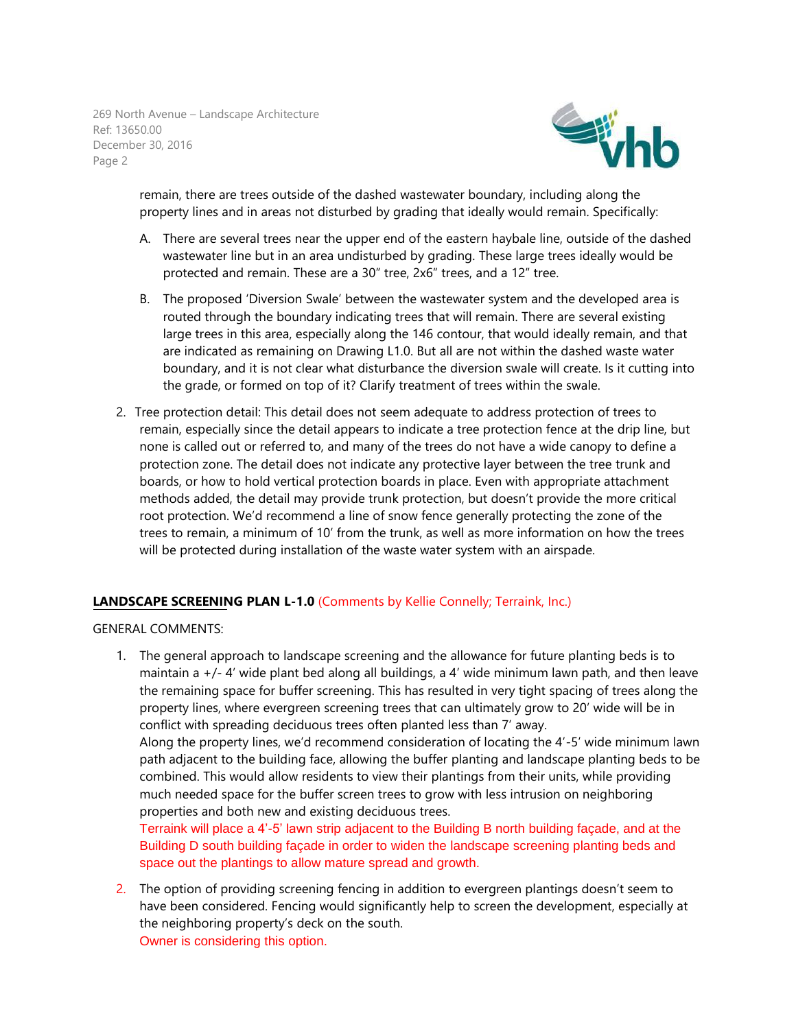269 North Avenue – Landscape Architecture Ref: 13650.00 December 30, 2016 Page 2



remain, there are trees outside of the dashed wastewater boundary, including along the property lines and in areas not disturbed by grading that ideally would remain. Specifically:

- A. There are several trees near the upper end of the eastern haybale line, outside of the dashed wastewater line but in an area undisturbed by grading. These large trees ideally would be protected and remain. These are a 30" tree, 2x6" trees, and a 12" tree.
- B. The proposed 'Diversion Swale' between the wastewater system and the developed area is routed through the boundary indicating trees that will remain. There are several existing large trees in this area, especially along the 146 contour, that would ideally remain, and that are indicated as remaining on Drawing L1.0. But all are not within the dashed waste water boundary, and it is not clear what disturbance the diversion swale will create. Is it cutting into the grade, or formed on top of it? Clarify treatment of trees within the swale.
- 2. Tree protection detail: This detail does not seem adequate to address protection of trees to remain, especially since the detail appears to indicate a tree protection fence at the drip line, but none is called out or referred to, and many of the trees do not have a wide canopy to define a protection zone. The detail does not indicate any protective layer between the tree trunk and boards, or how to hold vertical protection boards in place. Even with appropriate attachment methods added, the detail may provide trunk protection, but doesn't provide the more critical root protection. We'd recommend a line of snow fence generally protecting the zone of the trees to remain, a minimum of 10' from the trunk, as well as more information on how the trees will be protected during installation of the waste water system with an airspade.

## **LANDSCAPE SCREENING PLAN L-1.0** (Comments by Kellie Connelly; Terraink, Inc.)

GENERAL COMMENTS:

1. The general approach to landscape screening and the allowance for future planting beds is to maintain  $a +/4$  wide plant bed along all buildings, a 4' wide minimum lawn path, and then leave the remaining space for buffer screening. This has resulted in very tight spacing of trees along the property lines, where evergreen screening trees that can ultimately grow to 20' wide will be in conflict with spreading deciduous trees often planted less than 7' away. Along the property lines, we'd recommend consideration of locating the 4'-5' wide minimum lawn path adjacent to the building face, allowing the buffer planting and landscape planting beds to be combined. This would allow residents to view their plantings from their units, while providing much needed space for the buffer screen trees to grow with less intrusion on neighboring properties and both new and existing deciduous trees.

Terraink will place a 4'-5' lawn strip adjacent to the Building B north building façade, and at the Building D south building façade in order to widen the landscape screening planting beds and space out the plantings to allow mature spread and growth.

2. The option of providing screening fencing in addition to evergreen plantings doesn't seem to have been considered. Fencing would significantly help to screen the development, especially at the neighboring property's deck on the south. Owner is considering this option.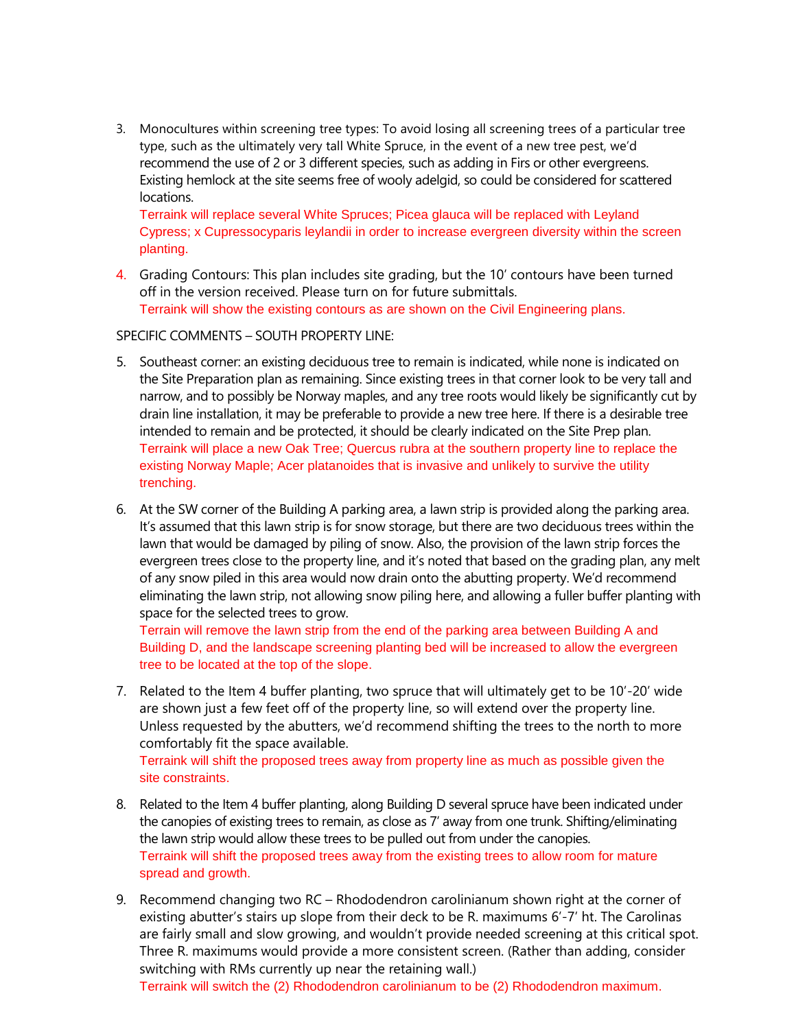3. Monocultures within screening tree types: To avoid losing all screening trees of a particular tree type, such as the ultimately very tall White Spruce, in the event of a new tree pest, we'd recommend the use of 2 or 3 different species, such as adding in Firs or other evergreens. Existing hemlock at the site seems free of wooly adelgid, so could be considered for scattered locations.

Terraink will replace several White Spruces; Picea glauca will be replaced with Leyland Cypress; x Cupressocyparis leylandii in order to increase evergreen diversity within the screen planting.

4. Grading Contours: This plan includes site grading, but the 10' contours have been turned off in the version received. Please turn on for future submittals. Terraink will show the existing contours as are shown on the Civil Engineering plans.

## SPECIFIC COMMENTS – SOUTH PROPERTY LINE:

- 5. Southeast corner: an existing deciduous tree to remain is indicated, while none is indicated on the Site Preparation plan as remaining. Since existing trees in that corner look to be very tall and narrow, and to possibly be Norway maples, and any tree roots would likely be significantly cut by drain line installation, it may be preferable to provide a new tree here. If there is a desirable tree intended to remain and be protected, it should be clearly indicated on the Site Prep plan. Terraink will place a new Oak Tree; Quercus rubra at the southern property line to replace the existing Norway Maple; Acer platanoides that is invasive and unlikely to survive the utility trenching.
- 6. At the SW corner of the Building A parking area, a lawn strip is provided along the parking area. It's assumed that this lawn strip is for snow storage, but there are two deciduous trees within the lawn that would be damaged by piling of snow. Also, the provision of the lawn strip forces the evergreen trees close to the property line, and it's noted that based on the grading plan, any melt of any snow piled in this area would now drain onto the abutting property. We'd recommend eliminating the lawn strip, not allowing snow piling here, and allowing a fuller buffer planting with space for the selected trees to grow.

Terrain will remove the lawn strip from the end of the parking area between Building A and Building D, and the landscape screening planting bed will be increased to allow the evergreen tree to be located at the top of the slope.

7. Related to the Item 4 buffer planting, two spruce that will ultimately get to be 10'-20' wide are shown just a few feet off of the property line, so will extend over the property line. Unless requested by the abutters, we'd recommend shifting the trees to the north to more comfortably fit the space available.

Terraink will shift the proposed trees away from property line as much as possible given the site constraints.

- 8. Related to the Item 4 buffer planting, along Building D several spruce have been indicated under the canopies of existing trees to remain, as close as 7' away from one trunk. Shifting/eliminating the lawn strip would allow these trees to be pulled out from under the canopies. Terraink will shift the proposed trees away from the existing trees to allow room for mature spread and growth.
- 9. Recommend changing two RC Rhododendron carolinianum shown right at the corner of existing abutter's stairs up slope from their deck to be R. maximums 6'-7' ht. The Carolinas are fairly small and slow growing, and wouldn't provide needed screening at this critical spot. Three R. maximums would provide a more consistent screen. (Rather than adding, consider switching with RMs currently up near the retaining wall.)

Terraink will switch the (2) Rhododendron carolinianum to be (2) Rhododendron maximum.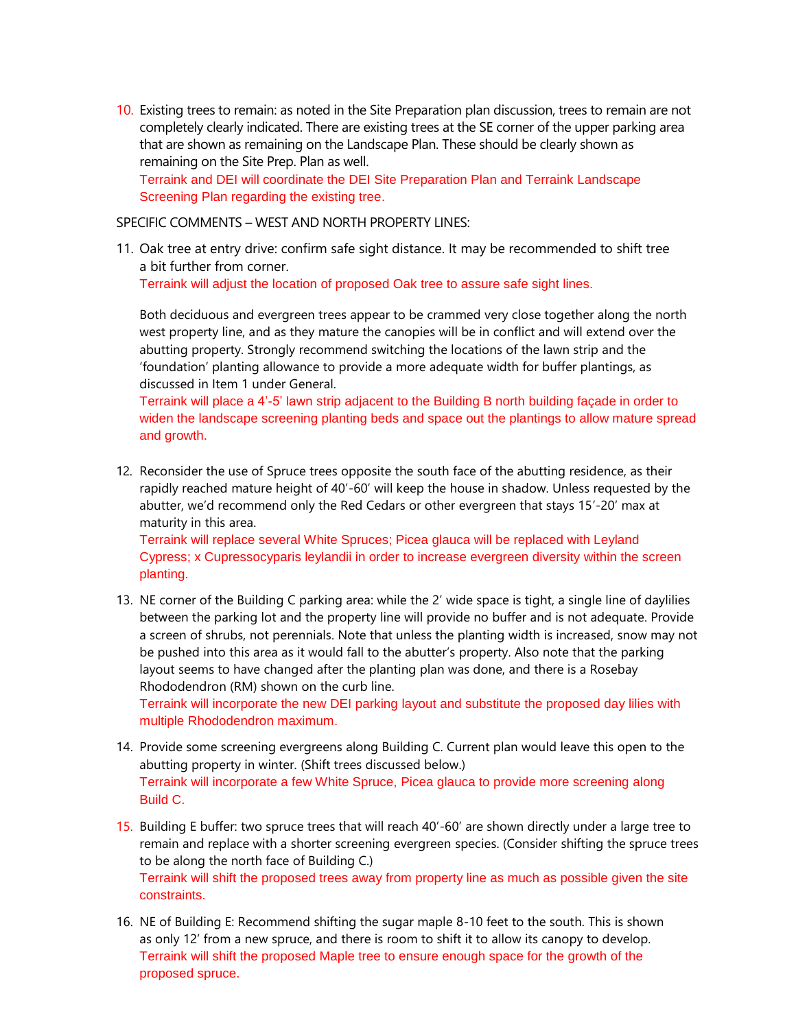10. Existing trees to remain: as noted in the Site Preparation plan discussion, trees to remain are not completely clearly indicated. There are existing trees at the SE corner of the upper parking area that are shown as remaining on the Landscape Plan. These should be clearly shown as remaining on the Site Prep. Plan as well.

Terraink and DEI will coordinate the DEI Site Preparation Plan and Terraink Landscape Screening Plan regarding the existing tree.

SPECIFIC COMMENTS – WEST AND NORTH PROPERTY LINES:

11. Oak tree at entry drive: confirm safe sight distance. It may be recommended to shift tree a bit further from corner.

Terraink will adjust the location of proposed Oak tree to assure safe sight lines.

Both deciduous and evergreen trees appear to be crammed very close together along the north west property line, and as they mature the canopies will be in conflict and will extend over the abutting property. Strongly recommend switching the locations of the lawn strip and the 'foundation' planting allowance to provide a more adequate width for buffer plantings, as discussed in Item 1 under General.

Terraink will place a 4'-5' lawn strip adjacent to the Building B north building façade in order to widen the landscape screening planting beds and space out the plantings to allow mature spread and growth.

12. Reconsider the use of Spruce trees opposite the south face of the abutting residence, as their rapidly reached mature height of 40'-60' will keep the house in shadow. Unless requested by the abutter, we'd recommend only the Red Cedars or other evergreen that stays 15'-20' max at maturity in this area.

Terraink will replace several White Spruces; Picea glauca will be replaced with Leyland Cypress; x Cupressocyparis leylandii in order to increase evergreen diversity within the screen planting.

13. NE corner of the Building C parking area: while the 2' wide space is tight, a single line of daylilies between the parking lot and the property line will provide no buffer and is not adequate. Provide a screen of shrubs, not perennials. Note that unless the planting width is increased, snow may not be pushed into this area as it would fall to the abutter's property. Also note that the parking layout seems to have changed after the planting plan was done, and there is a Rosebay Rhododendron (RM) shown on the curb line.

Terraink will incorporate the new DEI parking layout and substitute the proposed day lilies with multiple Rhododendron maximum.

- 14. Provide some screening evergreens along Building C. Current plan would leave this open to the abutting property in winter. (Shift trees discussed below.) Terraink will incorporate a few White Spruce, Picea glauca to provide more screening along Build C.
- 15. Building E buffer: two spruce trees that will reach 40'-60' are shown directly under a large tree to remain and replace with a shorter screening evergreen species. (Consider shifting the spruce trees to be along the north face of Building C.) Terraink will shift the proposed trees away from property line as much as possible given the site constraints.
- 16. NE of Building E: Recommend shifting the sugar maple 8-10 feet to the south. This is shown as only 12' from a new spruce, and there is room to shift it to allow its canopy to develop. Terraink will shift the proposed Maple tree to ensure enough space for the growth of the proposed spruce.